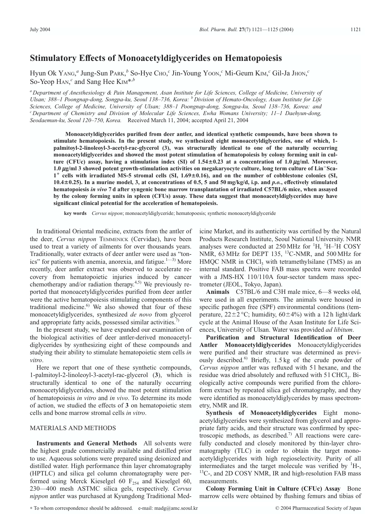# **Stimulatory Effects of Monoacetyldiglycerides on Hematopoiesis**

Hyun Ok YANG, *<sup>a</sup>* Jung-Sun PARK, *<sup>b</sup>* So-Hye CHO, *<sup>c</sup>* Jin-Young YOON, *<sup>c</sup>* Mi-Geum KIM, *<sup>c</sup>* Gil-Ja JHON, *c* So-Yeop H<sub>AN</sub>,<sup>*c*</sup> and Sang Hee K<sub>IM</sub>\*,<sup>*b*</sup></sup>

*<sup>a</sup> Department of Anesthesiology & Pain Management, Asan Institute for Life Sciences, College of Medicine, University of Ulsan; 388–1 Poongnap-dong, Songpa-ku, Seoul 138–736, Korea: <sup>b</sup> Division of Hemato-Oncology, Asan Institute for Life Sciences, College of Medicine, University of Ulsan; 388–1 Poongnap-dong, Songpa-ku, Seoul 138–736, Korea: and <sup>c</sup> Department of Chemistry and Division of Molecular Life Sciences, Ewha Womans University; 11–1 Daehyun-dong, Seodaemun-ku, Seoul 120–750, Korea.* Received March 11, 2004; accepted April 21, 2004

**Monoacetyldiglycerides purified from deer antler, and identical synthetic compounds, have been shown to stimulate hematopoiesis. In the present study, we synthesized eight monoacetyldiglycerides, one of which, 1 palmitoyl-2-linoleoyl-3-acetyl-rac-glycerol (3), was structurally identical to one of the naturally occurring monoacetyldiglycerides and showed the most potent stimulation of hematopoiesis by colony forming unit in cul**ture (CFUc) assay, having a stimulation index (SI) of  $1.54 \pm 0.23$  at a concentration of  $1.0 \mu g/ml$ . Moreover, **1.0** <sup>m</sup>**g/ml 3 showed potent growth-stimulation activities on megakaryocyte culture, long term culture of Lin**-**Sca-1 cells with irradiated MS-5 stromal cells (SI, 1.690.16), and on the number of cobblestone colonies (SI, 10.40.25). In a murine model, 3, at concentrations of 0.5, 5 and 50 mg/kg/d, i.p. and** *p.o.***, effectively stimulated hematopoiesis** *in vivo* **7 d after syngenic bone marrow transplantation of irradiated C57BL/6 mice, when assayed by the colony forming units in spleen (CFUs) assay. These data suggest that monoacetyldiglycerides may have significant clinical potential for the acceleration of hematopoiesis.**

**key words** *Cervus nippon*; monoacetyldiglyceride; hematopoesis; synthetic monoacetyldiglyceride

In traditional Oriental medicine, extracts from the antler of the deer, *Cervus nippon* TEMMENICK (Cervidae), have been used to treat a variety of ailments for over thousands years. Traditionally, water extracts of deer antler were used as "tonics" for patients with anemia, anorexia, and fatigue. $1<sup>{-3}</sup>$  More recently, deer antler extract was observed to accelerate recovery from hematopoietic injuries induced by cancer chemotherapy and/or radiation therapy.<sup>4,5)</sup> We previously reported that monoacetyldiglycerides purified from deer antler were the active hematopoiesis stimulating components of this traditional medicine. $6$  We also showed that four of these monoacetyldiglycerides, synthesized *de novo* from glycerol and appropriate fatty acids, possessed similar activities.<sup>7)</sup>

In the present study, we have expanded our examination of the biological activities of deer antler-derived monoacetyldiglycerides by synthesizing eight of these compounds and studying their ability to stimulate hematopoietic stem cells *in vitro*.

Here we report that one of these synthetic compounds, 1-palmitoyl-2-linoleoyl-3-acetyl-rac-glycerol (**3**), which is structurally identical to one of the naturally occurring monoacetyldiglycerides, showed the most potent stimulation of hematopoiesis *in vitro* and *in vivo*. To determine its mode of action, we studied the effects of **3** on hematopoietic stem cells and bone marrow stromal cells *in vitro*.

## MATERIALS AND METHODS

**Instruments and General Methods** All solvents were the highest grade commercially available and distilled prior to use. Aqueous solutions were prepared using deionized and distilled water. High performance thin layer chromatography (HPTLC) and silica gel column chromatography were performed using Merck Kieselgel 60  $F_{254}$  and Kieselgel 60, 230—400 mesh ASTMC silica gels, respectively. *Cervus nippon* antler was purchased at Kyungdong Traditional Med-

icine Market, and its authenticity was certified by the Natural Products Research Institute, Seoul National University. NMR analyses were conducted at  $250 \text{ MHz}$  for  $\mathrm{^{1}H, \,^{1}H-^{1}H}$  COSY NMR, 63 MHz for DEPT 135, <sup>13</sup>C-NMR, and 500 MHz for  $HMQC NMR$  in CHCl<sub>3</sub> with tetramethylsilane (TMS) as an internal standard. Positive FAB mass spectra were recorded with a JMS-HX 110/110A four-sector tandem mass spectrometer (JEOL, Tokyo, Japan).

**Animals** C57BL/6 and C3H male mice, 6—8 weeks old, were used in all experiments. The animals were housed in specific pathogen free (SPF) environmental conditions (temperature,  $22 \pm 2 \degree C$ ; humidity,  $60 \pm 4\%$ ) with a 12 h light/dark cycle at the Animal House of the Asan Institute for Life Sciences, University of Ulsan. Water was provided *ad libitum*.

**Purification and Structural Identification of Deer Antler Monoacetyldiglycerides** Monoacetyldiglycerides were purified and their structure was determined as previously described.<sup>6)</sup> Briefly, 1.5 kg of the crude powder of *Cervus nippon* antler was refluxed with 5 l hexane, and the residue was dried absolutely and refluxed with  $51 \text{ CHCl}_3$ . Biologically active compounds were purified from the chloroform extract by repeated silica gel chromatography, and they were identified as monoacetyldiglycerides by mass spectrometry, NMR and IR.

**Synthesis of Monoacetyldiglycerides** Eight monoacetyldiglycerides were synthesized from glycerol and appropriate fatty acids, and their structure was confirmed by spectroscopic methods, as described.<sup>7)</sup> All reactions were carefully conducted and closely monitored by thin-layer chromatography (TLC) in order to obtain the target monoacetyldiglycerides with high regioselectivity. Purity of all intermediates and the target molecule was verified by  ${}^{1}H$ -,  $^{13}$ C-, and 2D COSY NMR, IR and high-resolution FAB mass measurements.

**Colony Forming Unit in Culture (CFUc) Assay** Bone marrow cells were obtained by flushing femurs and tibias of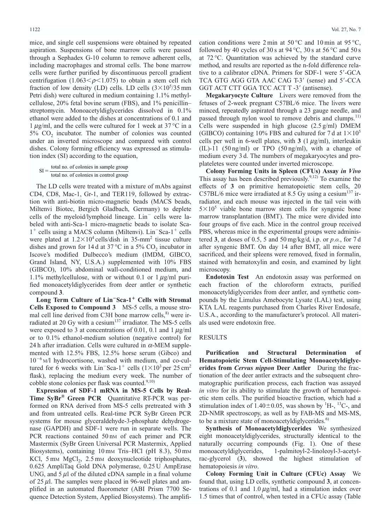mice, and single cell suspensions were obtained by repeated aspiration. Suspensions of bone marrow cells were passed through a Sephadex G-10 column to remove adherent cells, including macrophages and stromal cells. The bone marrow cells were further purified by discontinuous percoll gradient centrifugation (1.063 $\leq \rho \leq 1.075$ ) to obtain a stem cell rich fraction of low density (LD) cells. LD cells  $(3\times10^5/35 \text{ mm})$ Petri dish) were cultured in medium containing 1.1% methylcellulose, 20% fetal bovine serum (FBS), and 1% penicillin– streptomycin. Monoacetyldiglycerides dissolved in 0.1% ethanol were added to the dishes at concentrations of 0.1 and 1  $\mu$ g/ml, and the cells were cultured for 1 week at 37 °C in a  $5\%$  CO<sub>2</sub> incubator. The number of colonies was counted under an inverted microscope and compared with control dishes. Colony forming efficiency was expressed as stimulation index (SI) according to the equation,

```
SI = \frac{\text{total no. of colonies in sample group}}{}total no. of colonies in control group
```
The LD cells were treated with a mixture of mAbs against CD4, CD8, Mac-1, Gr-1, and TER119, followed by extraction with anti-biotin micro-magnetic beads (MACS beads, Miltenvi Biotec, Bergich Gladbach, Germany) to deplete cells of the myeloid/lymphoid lineage.  $Lin^-$  cells were labeled with anti-Sca-1 micro-magnetic beads to isolate Sca- $1^+$  cells using a MACS column (Miltenvi). Lin<sup>-</sup>Sca- $1^+$  cells were plated at  $1.2 \times 10^4$  cells/dish in 35-mm<sup>2</sup> tissue culture dishes and grown for 14 d at 37 °C in a 5%  $CO<sub>2</sub>$  incubator in Iscove's modified Dulbecco's medium (IMDM, GIBCO, Grand Island, NY, U.S.A.) supplemented with 10% FBS (GIBCO), 10% abdominal wall-conditioned medium, and 1.1% methylcellulose, with or without 0.1 or 1  $\mu$ g/ml purified monoacetyldiglycerides from deer antler or synthetic compound **3**.

**Long Term Culture of Lin**-**Sca-1 Cells with Stromal Cells Exposed to Compound 3** MS-5 cells, a mouse stromal cell line derived from C3H bone marrow cells, $^{8}$  were irradiated at 20 Gy with a cesium $137$  irradiator. The MS-5 cells were exposed to 3 at concentrations of 0.01, 0.1 and 1  $\mu$ g/ml or to 0.1% ethanol-medium solution (negative control) for 24 h after irradiation. Cells were cultured in  $\alpha$ -MEM supplemented with 12.5% FBS, 12.5% horse serum (Gibco) and  $10^{-6}$  M/l hydrocortisone, washed with medium, and co-cultured for 6 weeks with  $\text{Lin}^-\text{Sca-1}^+$  cells  $(1\times10^3 \text{ per } 25 \text{ cm}^2)$ flask), replacing the medium every week. The number of cobble stone colonies per flask was counted. $9,10)$ 

**Expression of SDF-1 mRNA in MS-5 Cells by Real-Time SyBr® Green PCR** Quantitative RT-PCR was performed on RNA derived from MS-5 cells pretreated with **3** and from untreated cells. Real-time PCR SyBr Green PCR systems for mouse glyceraldehyde-3-phosphate dehydrogenase (GAPDH) and SDF-1 were run in separate wells. The PCR reactions contained 50 nm of each primer and PCR Mastermix (SyBr Green Universal PCR Mastermix, Applied Biosystems), containing 10 mm Tris–HCl (pH 8.3), 50 mm KCl,  $5 \text{ mm } \text{MgCl}_2$ ,  $2.5 \text{ mm }$  deoxynucleotide triphosphates, 0.625 AmpliTaq Gold DNA polymerase, 0.25 U AmpErase UNG, and  $5 \mu l$  of the diluted cDNA sample in a final volume of  $25 \mu$ . The samples were placed in 96-well plates and amplified in an automated fluorometer (ABI Prism 7700 Sequence Detection System, Applied Biosystems). The amplification conditions were 2 min at 50 °C and 10 min at 95 °C, followed by 40 cycles of 30 s at  $94^{\circ}$ C, 30 s at 56 °C and 50 s at 72 °C. Quantitation was achieved by the standard curve method, and results are reported as the n-fold difference relative to a calibrator cDNA. Primers for SDF-1 were 5'-GCA TCA GTG AGG GTA AAC CAG T-3' (sense) and 5'-CCA GGT ACT CTT GGA TCC ACT T -3' (antisense).

**Megakaryocyte Culture** Livers were removed from the fetuses of 2-week pregnant C57BL/6 mice. The livers were minced, repeatedly aspirated through a 23 gauge needle, and passed through nylon wool to remove debris and clumps.<sup>11)</sup> Cells were suspended in high glucose  $(2.5 \text{ g/ml})$  DMEM (GIBCO) containing 10% FBS and cultured for 7 d at  $1\times10^{5}$ cells per well in 6-well plates, with  $3(1 \mu g/ml)$ , interleukin (IL)-11 (50 ng/ml) or TPO (50 ng/ml), with a change of medium every 3 d. The numbers of megakaryocytes and proplateletes were counted under inverted microscope.

**Colony Forming Units in Spleen (CFUs) Assay** *in Vivo* This assay has been described previously.<sup>9,12)</sup> To examine the effects of **3** on primitive hematopoietic stem cells, 20 C57BL/6 mice were irradiated at 8.5 Gy using a cesium<sup>137</sup> irradiator, and each mouse was injected in the tail vein with  $5\times10^5$  viable bone marrow stem cells for syngenic bone marrow transplantation (BMT). The mice were divided into four groups of five each. Mice in the control group received PBS, whereas mice in the experimental groups were administered **3**, at doses of 0.5, 5 and 50 mg/kg/d, i.p. or *p.o.*, for 7 d after syngenic BMT. On day 14 after BMT, all mice were sacrificed, and their spleens were removed, fixed in formalin, stained with hematoxylin and eosin, and examined by light microscopy.

**Endotoxin Test** An endotoxin assay was performed on each fraction of the chloroform extracts, purified monoacetyldiglycerides from deer antler, and synthetic compounds by the Limulus Amebocyte Lysate (LAL) test, using KTA LAL reagents purchased from Charles River Endosafe, U.S.A., according to the manufacturer's protocol. All materials used were endotoxin free.

#### RESULTS

**Purification and Structural Determination of Hematopoietic Stem Cell-Stimulating Monoacetyldiglycerides from** *Cervus nippon* **Deer Antler** During the fractionation of the deer antler extracts and the subsequent chromatographic purification process, each fraction was assayed *in vitro* for its ability to stimulate the growth of hematopoietic stem cells. The purified bioactive fraction, which had a stimulation index of  $1.40 \pm 0.05$ , was shown by <sup>1</sup>H-, <sup>13</sup>C-, and 2D-NMR spectroscopy, as well as by FAB-MS and MS-MS, to be a mixture state of monoacetyldiglycerides.<sup>6)</sup>

**Synthesis of Monoacetyldiglycerides** We synthesized eight monoacetyldiglycerides, structurally identical to the naturally occurring compounds (Fig. 1). One of these monoacetyldiglycerides, 1-palmitoyl-2-linoleoyl-3-acetylrac-glycerol (**3**), showed the highest stimulation of hematopoiesis *in vitro*.

**Colony Forming Unit in Culture (CFUc) Assay** We found that, using LD cells, synthetic compound **3**, at concentrations of 0.1 and 1.0  $\mu$ g/ml, had a stimulation index over 1.5 times that of control, when tested in a CFUc assay (Table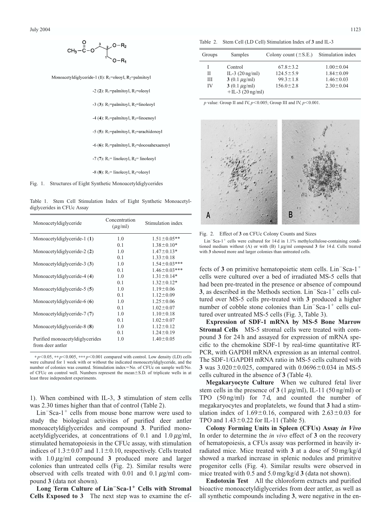

Monoacetyldiglyceride-1 (1): R<sub>1</sub>=oleoyl, R<sub>2</sub>=palmitoyl

-2 (2):  $R_1$ =palmitoyl,  $R_2$ =oleoyl -3 (3):  $R_1$ =palmitoyl,  $R_2$ =linoleoyl -4 (4):  $R_1$ =palmitoyl,  $R_2$ =linoenoyl -5 (5):  $R_1$ =palmitoyl,  $R_2$ =arachidonoyl -6 (6): R<sub>1</sub>=palmitoyl, R<sub>2</sub>=docosahexaenoyl -7 (7):  $R_1$ = linoleoyl,  $R_2$ = linoleoyl -8 (8):  $R_1$ = linoleoyl,  $R_2$ =oleoyl

Fig. 1. Structures of Eight Synthetic Monoacetyldiglycerides

Table 1. Stem Cell Stimulation Index of Eight Synthetic Monoacetyldiglycerides in CFUc Assay

| Monoacetyldiglyceride                               | Concentration<br>$(\mu$ g/ml) | Stimulation index   |
|-----------------------------------------------------|-------------------------------|---------------------|
| Monoacetyldiglyceride-1 (1)                         | 1.0                           | $1.51 \pm 0.05$ **  |
|                                                     | 0.1                           | $1.38 \pm 0.10*$    |
| Monoacetyldiglyceride-2 (2)                         | 1.0                           | $1.47 \pm 0.13*$    |
|                                                     | 0.1                           | $1.33 \pm 0.18$     |
| Monoacetyldiglyceride-3 (3)                         | 1.0                           | $1.54 \pm 0.03$ *** |
|                                                     | 0.1                           | $1.46 \pm 0.03***$  |
| Monoacetyldiglyceride-4 (4)                         | 1.0                           | $1.31 \pm 0.14*$    |
|                                                     | 0.1                           | $1.32 \pm 0.12*$    |
| Monoacetyldiglyceride-5 (5)                         | 1.0                           | $1.19 \pm 0.06$     |
|                                                     | 0.1                           | $1.12 \pm 0.09$     |
| Monoacetyldiglyceride-6 (6)                         | 1.0                           | $1.25 \pm 0.06$     |
|                                                     | 0.1                           | $1.02 \pm 0.07$     |
| Monoacetyldiglyceride-7 (7)                         | 1.0                           | $1.10 \pm 0.18$     |
|                                                     | 0.1                           | $1.02 \pm 0.07$     |
| Monoacetyldiglyceride-8 (8)                         | 1.0                           | $1.12 \pm 0.12$     |
|                                                     | 0.1                           | $1.24 \pm 0.19$     |
| Purified monoacetyldiglycerides<br>from deer antler | 1.0                           | $1.40 \pm 0.05$     |

 $* p < 0.05, ** p < 0.005, *** p < 0.001$  compared with control. Low density (LD) cells were cultured for 1 week with or without the indicated monoacetyldiglyceride, and the number of colonies was counted. Stimulation index=No. of CFUc on sample well/No. of CFUc on control well. Numbers represent the mean $\pm$ S.D. of triplicate wells in at least three independent experiments.

1). When combined with IL-3, **3** stimulation of stem cells was 2.30 times higher than that of control (Table 2).

 $Lin-Sca-1^+$  cells from mouse bone marrow were used to study the biological activities of purified deer antler monoacetyldiglycerides and compound **3**. Purified monoacetyldiglycerides, at concentrations of 0.1 and  $1.0 \mu g/ml$ , stimulated hematopoiesis in the CFUc assay, with stimulation indices of  $1.3\pm0.07$  and  $1.1\pm0.10$ , respectively. Cells treated with  $1.0 \mu g/ml$  compound **3** produced more and larger colonies than untreated cells (Fig. 2). Similar results were observed with cells treated with 0.01 and 0.1  $\mu$ g/ml compound **3** (data not shown).

**Long Term Culture of Lin**-**Sca-1 Cells with Stromal Cells Exposed to 3** The next step was to examine the ef-

Table 2. Stem Cell (LD Cell) Stimulation Index of **3** and IL-3

| Groups | Samples                   | Colony count $(\pm S.E.)$ | Stimulation index |
|--------|---------------------------|---------------------------|-------------------|
|        | Control                   | $67.8 \pm 3.2$            | $1.00 \pm 0.04$   |
| Н      | IL-3 $(20 \text{ ng/ml})$ | $124.5 \pm 5.9$           | $1.84 \pm 0.09$   |
| Ш      | 3 (0.1 $\mu$ g/ml)        | $99.3 \pm 1.8$            | $1.46 \pm 0.03$   |
| IV     | 3 (0.1 $\mu$ g/ml)        | $156.0 \pm 2.8$           | $2.30 \pm 0.04$   |
|        | $+IL-3$ (20 ng/ml)        |                           |                   |

 $p$  value: Group II and IV,  $p$ <0.005; Group III and IV,  $p$ <0.001.

B A

Fig. 2. Effect of **3** on CFUc Colony Counts and Sizes

 $Lin-Sca-1^+$  cells were cultured for 14 d in 1.1% methylcellulose-containing conditioned medium without (A) or with (B)  $1 \mu g/ml$  compound  $3$  for 14 d. Cells treated with **3** showed more and larger colonies than untreated cells.

fects of  $3$  on primitive hematopoietic stem cells.  $Lin<sup>-</sup>Sca-1<sup>+</sup>$ cells were cultured over a bed of irradiated MS-5 cells that had been pre-treated in the presence or absence of compound **3**, as described in the Methods section.  $Lin<sup>-</sup>Sca-1<sup>+</sup>$  cells cultured over MS-5 cells pre-treated with **3** produced a higher number of cobble stone colonies than  $Lin<sup>-</sup>Sca-1<sup>+</sup>$  cells cultured over untreated MS-5 cells (Fig. 3, Table 3).

**Expression of SDF-1 mRNA by MS-5 Bone Marrow Stromal Cells** MS-5 stromal cells were treated with compound **3** for 24 h and assayed for expression of mRNA specific to the chemokine SDF-1 by real-time quantitative RT-PCR, with GAPDH mRNA expression as an internal control. The SDF-1/GAPDH mRNA ratio in MS-5 cells cultured with **3** was  $3.020 \pm 0.025$ , compared with  $0.0696 \pm 0.034$  in MS-5 cells cultured in the absence of **3** (Table 4).

**Megakaryocyte Culture** When we cultured fetal liver stem cells in the presence of  $3(1 \mu g/ml)$ , IL-11 (50 ng/ml) or TPO (50 ng/ml) for 7 d, and counted the number of megakaryocytes and proplatelets, we found that **3** had a stimulation index of  $1.69 \pm 0.16$ , compared with  $2.63 \pm 0.03$  for TPO and  $1.43 \pm 0.22$  for IL-11 (Table 5).

**Colony Forming Units in Spleen (CFUs) Assay** *in Vivo* In order to determine the *in vivo* effect of **3** on the recovery of hematopoiesis, a CFUs assay was performed in heavily irradiated mice. Mice treated with **3** at a dose of 50 mg/kg/d showed a marked increase in splenic nodules and primitive progenitor cells (Fig. 4). Similar results were observed in mice treated with 0.5 and 5.0 mg/kg/d **3** (data not shown).

**Endotoxin Test** All the chloroform extracts and purified bioactive monoacetyldiglycerides from deer antler, as well as all synthetic compounds including **3**, were negative in the en-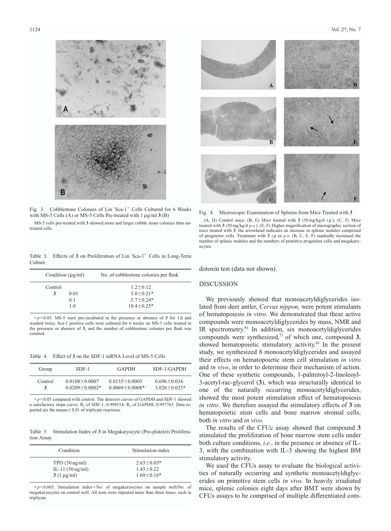

Fig. 3. Cobblestone Colonies of Lin<sup>-</sup>Sca-1<sup>+</sup> Cells Cultured for 6 Weeks with MS-5 Cells (A) or MS-5 Cells Pre-treated with  $1 \mu g/ml 3$  (B)

MS-5 cells pre-treated with **3** showed more and larger cobble stone colonies than untreated cells.

Table 3. Effects of 3 on Proliferation of Lin<sup>-</sup>Sca-1<sup>+</sup> Cells in Long-Term Culture

| Condition $(\mu g/ml)$ | No. of cobblestone colonies per flask |
|------------------------|---------------------------------------|
| Control                | $1.2 \pm 0.12$                        |
| 0.01<br>3              | $5.0 \pm 0.21*$                       |
| 0 <sub>1</sub>         | $5.7 \pm 0.24*$                       |
| 1 <sub>0</sub>         | $10.4 \pm 0.25*$                      |

 $* p<0.05$ . MS-5 were pre-incubated in the presence or absence of 3 for 1 d and washed twice. Sca-1 positive cells were cultured for 6 weeks on MS-5 cells treated in the presence or absence of **3**, and the number of cobblestone colonies per flask was counted.

Table 4. Effect of **3** on the SDF-1 mRNA Level of MS-5 Cells

| Group   | $SDF-1$              | GAPDH                | SDF-1/GAPDH         |
|---------|----------------------|----------------------|---------------------|
| Control | $0.0108 + 0.0007$    | $0.0155 \pm 0.0005$  | $0.696 \pm 0.034$   |
| 3       | $0.0209 \pm 0.0002*$ | $0.0069 \pm 0.0008*$ | $3.020 \pm 0.025$ * |

\* *p*-0.05 compared with control. The detector curves of GAPDH and SDF-1 showed a satisfactory slope curve:  $R_2$  of SDF-1, 0.998514;  $R_2$  of GAPDH, 0.997763. Data reported are the means $\pm$ S.D. of triplicate reactions.

Table 5. Stimulation Index of **3** in Megakaryocyte (Pro-platelet) Proliferation Assay

| Condition                  | Stimulation index |
|----------------------------|-------------------|
| $TPO(50 \text{ ng/ml})$    | $2.63 \pm 0.03*$  |
| IL-11 $(50 \text{ ng/ml})$ | $143 + 022$       |
| $3(1 \mu g/ml)$            | $1.69 \pm 0.16*$  |

 $* p<0.005$ . Stimulation index=No. of megakaryocytes on sample well/No. of megakaryocytes on control well. All tests were repeated more than three times, each in triplicate.





Fig. 4. Microscopic Examination of Spleens from Mice Treated with **3** (A, D) Control mice; (B, E) Mice treated with **3** (50 mg/kg/d i.p.); (C, F) Mice treated with **3** (50 mg/kg/d *p.o.*). (E, F) Higher magnification of micrographic section of mice treated with **3**, the arrowhead indicates an increase in splenic nodules comprised of progenitor cells. Treatment with **3** i.p or *p.o.* (B, C, E, F) markedly increased the number of splenic nodules and the numbers of primitive progenitor cells and megakaryocytes.

dotoxin test (data not shown).

#### DISCUSSION

We previously showed that monoacetyldiglycerides isolated from deer antler, *Cervus nippon*, were potent stimulants of hematopoiesis *in vitro*. We demonstrated that these active compounds were monoacetyldiglycerides by mass, NMR and IR spectrometry.<sup>6)</sup> In addition, six monoacetyldiglycerides compounds were synthesized,<sup>7)</sup> of which one, compound 3, showed hematopoietic stimulatory activity.<sup>6)</sup> In the present study, we synthesized 8 monoacetyldiglycerides and assayed their effects on hematopoietic stem cell stimulation *in vitro* and *in vivo*, in order to determine their mechanism of action. One of these synthetic compounds, 1-palmitoyl-2-linoleoyl-3-acetyl-rac-glycerol (**3**), which was structurally identical to one of the naturally occurring monoacetyldiglycerides, showed the most potent stimulation effect of hematopoiesis *in vitro*. We therefore assayed the stimulatory effects of **3** on hematopoietic stem cells and bone marrow stromal cells, both *in vitro* and *in vivo*.

The results of the CFUc assay showed that compound **3** stimulated the proliferation of bone marrow stem cells under both culture conditions, *i.e.*, in the presence or absence of IL-3, with the combination with IL-3 showing the highest BM stimulatory activity.

We used the CFUs assay to evaluate the biological activities of naturally occurring and synthetic monoacetyldiglycerides on primitive stem cells *in vivo*. In heavily irradiated mice, splenic colonies eight days after BMT were shown by CFUs assays to be comprised of multiple differentiated com